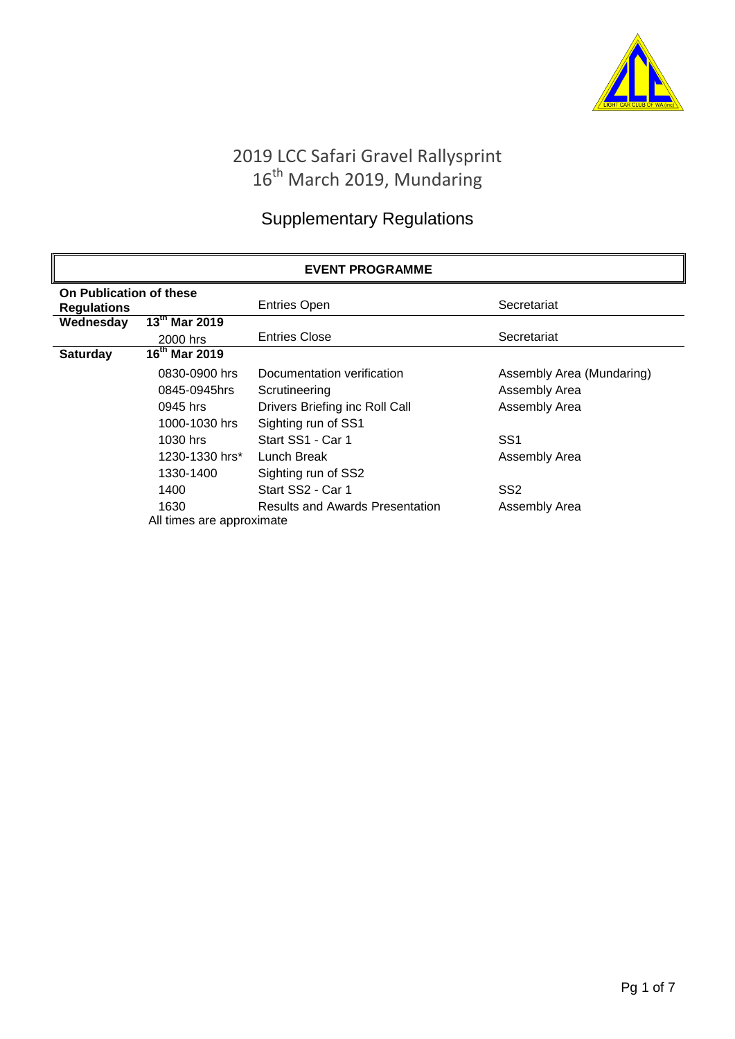

# 2019 LCC Safari Gravel Rallysprint 16<sup>th</sup> March 2019, Mundaring

# Supplementary Regulations

| <b>EVENT PROGRAMME</b>                        |                                                  |                                        |                           |  |  |
|-----------------------------------------------|--------------------------------------------------|----------------------------------------|---------------------------|--|--|
| On Publication of these<br><b>Regulations</b> |                                                  | <b>Entries Open</b>                    | Secretariat               |  |  |
| Wednesday                                     | $\overline{13}^{\text{th}}$ Mar 2019<br>2000 hrs | <b>Entries Close</b>                   | Secretariat               |  |  |
| <b>Saturday</b>                               | $16^{th}$ Mar 2019                               |                                        |                           |  |  |
|                                               | 0830-0900 hrs                                    | Documentation verification             | Assembly Area (Mundaring) |  |  |
|                                               | 0845-0945hrs                                     | Scrutineering                          | Assembly Area             |  |  |
|                                               | 0945 hrs                                         | Drivers Briefing inc Roll Call         | Assembly Area             |  |  |
|                                               | 1000-1030 hrs                                    | Sighting run of SS1                    |                           |  |  |
|                                               | 1030 hrs                                         | Start SS1 - Car 1                      | SS <sub>1</sub>           |  |  |
|                                               | 1230-1330 hrs*                                   | Lunch Break                            | Assembly Area             |  |  |
|                                               | 1330-1400                                        | Sighting run of SS2                    |                           |  |  |
|                                               | 1400                                             | Start SS2 - Car 1                      | SS <sub>2</sub>           |  |  |
|                                               | 1630                                             | <b>Results and Awards Presentation</b> | Assembly Area             |  |  |
|                                               | All times are approximate                        |                                        |                           |  |  |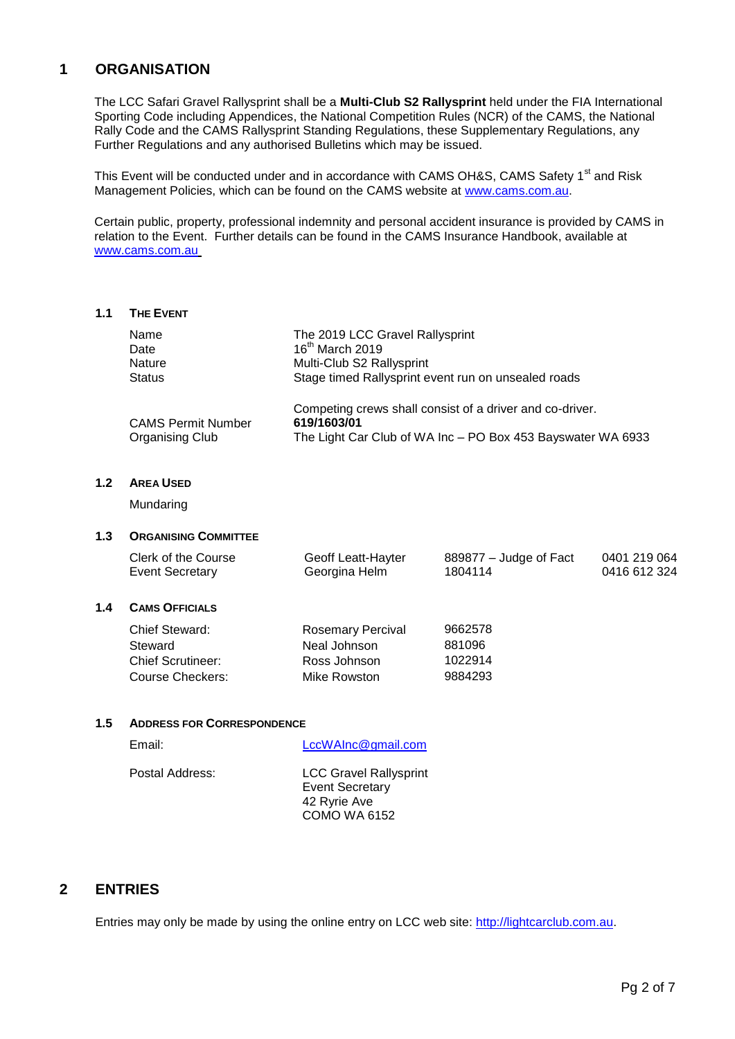# **1 ORGANISATION**

The LCC Safari Gravel Rallysprint shall be a **Multi-Club S2 Rallysprint** held under the FIA International Sporting Code including Appendices, the National Competition Rules (NCR) of the CAMS, the National Rally Code and the CAMS Rallysprint Standing Regulations, these Supplementary Regulations, any Further Regulations and any authorised Bulletins which may be issued.

This Event will be conducted under and in accordance with CAMS OH&S, CAMS Safety 1<sup>st</sup> and Risk Management Policies, which can be found on the CAMS website at [www.cams.com.au.](http://www.cams.com.au/)

Certain public, property, professional indemnity and personal accident insurance is provided by CAMS in relation to the Event. Further details can be found in the CAMS Insurance Handbook, available at [www.cams.com.au](http://www.cams.com.au/)

#### **1.1 THE EVENT**

| Name                      | The 2019 LCC Gravel Rallysprint                             |
|---------------------------|-------------------------------------------------------------|
| Date                      | $16th$ March 2019                                           |
| <b>Nature</b>             | Multi-Club S2 Rallysprint                                   |
| <b>Status</b>             | Stage timed Rallysprint event run on unsealed roads         |
|                           | Competing crews shall consist of a driver and co-driver.    |
| <b>CAMS Permit Number</b> | 619/1603/01                                                 |
| Organising Club           | The Light Car Club of WA Inc - PO Box 453 Bayswater WA 6933 |

## **1.2 AREA USED**

Mundaring

## **1.3 ORGANISING COMMITTEE**

| Geoff Leatt-Hayter<br>Clerk of the Course<br>Event Secretary<br>Georgina Helm<br>1804114 | 0401 219 064<br>889877 – Judge of Fact<br>0416 612 324 |
|------------------------------------------------------------------------------------------|--------------------------------------------------------|
|------------------------------------------------------------------------------------------|--------------------------------------------------------|

#### **1.4 CAMS OFFICIALS**

| Chief Steward:           | <b>Rosemary Percival</b> | 9662578 |
|--------------------------|--------------------------|---------|
| Steward                  | Neal Johnson             | 881096  |
| <b>Chief Scrutineer:</b> | Ross Johnson             | 1022914 |
| Course Checkers:         | Mike Rowston             | 9884293 |

#### **1.5 ADDRESS FOR CORRESPONDENCE**

| Email:          | LccWAInc@gmail.com                                                                             |
|-----------------|------------------------------------------------------------------------------------------------|
| Postal Address: | <b>LCC Gravel Rallysprint</b><br><b>Event Secretary</b><br>42 Ryrie Ave<br><b>COMO WA 6152</b> |

# **2 ENTRIES**

Entries may only be made by using the online entry on LCC web site: [http://lightcarclub.com.au.](http://lightcarclub.com.au/)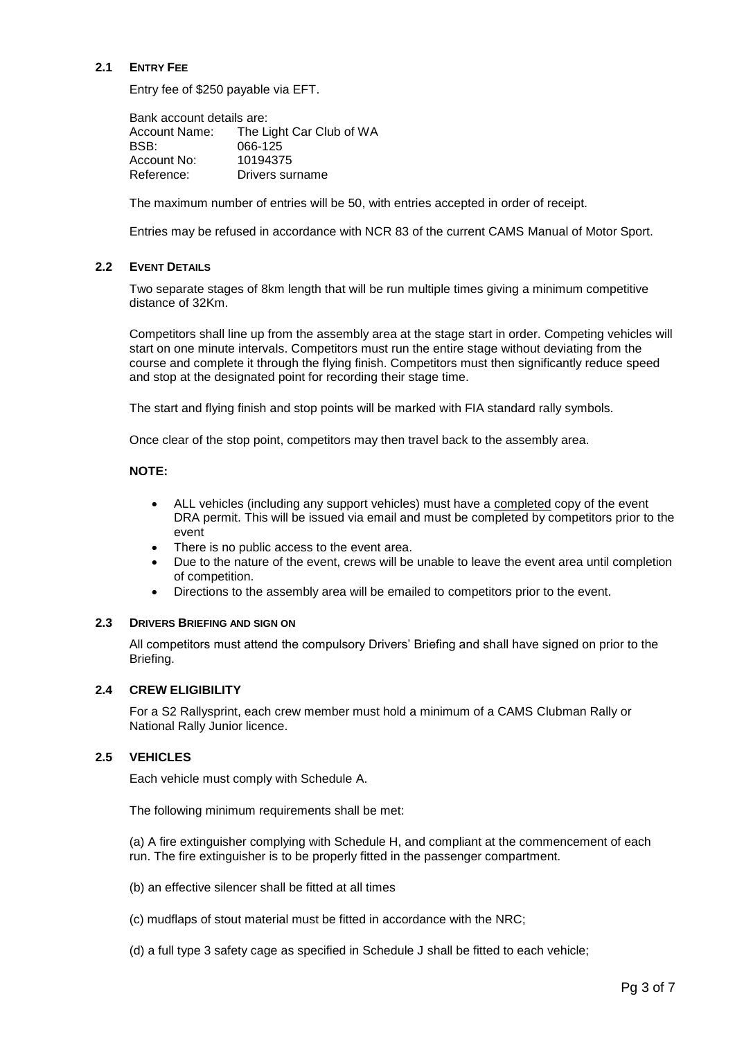## **2.1 ENTRY FEE**

Entry fee of \$250 payable via EFT.

Bank account details are: Account Name: The Light Car Club of WA BSB: 066-125 Account No: 10194375 Reference: Drivers surname

The maximum number of entries will be 50, with entries accepted in order of receipt.

Entries may be refused in accordance with NCR 83 of the current CAMS Manual of Motor Sport.

#### **2.2 EVENT DETAILS**

Two separate stages of 8km length that will be run multiple times giving a minimum competitive distance of 32Km.

Competitors shall line up from the assembly area at the stage start in order. Competing vehicles will start on one minute intervals. Competitors must run the entire stage without deviating from the course and complete it through the flying finish. Competitors must then significantly reduce speed and stop at the designated point for recording their stage time.

The start and flying finish and stop points will be marked with FIA standard rally symbols.

Once clear of the stop point, competitors may then travel back to the assembly area.

#### **NOTE:**

- ALL vehicles (including any support vehicles) must have a completed copy of the event DRA permit. This will be issued via email and must be completed by competitors prior to the event
- There is no public access to the event area.
- Due to the nature of the event, crews will be unable to leave the event area until completion of competition.
- Directions to the assembly area will be emailed to competitors prior to the event.

#### **2.3 DRIVERS BRIEFING AND SIGN ON**

All competitors must attend the compulsory Drivers' Briefing and shall have signed on prior to the Briefing.

#### **2.4 CREW ELIGIBILITY**

For a S2 Rallysprint, each crew member must hold a minimum of a CAMS Clubman Rally or National Rally Junior licence.

#### **2.5 VEHICLES**

Each vehicle must comply with Schedule A.

The following minimum requirements shall be met:

(a) A fire extinguisher complying with Schedule H, and compliant at the commencement of each run. The fire extinguisher is to be properly fitted in the passenger compartment.

(b) an effective silencer shall be fitted at all times

(c) mudflaps of stout material must be fitted in accordance with the NRC;

(d) a full type 3 safety cage as specified in Schedule J shall be fitted to each vehicle;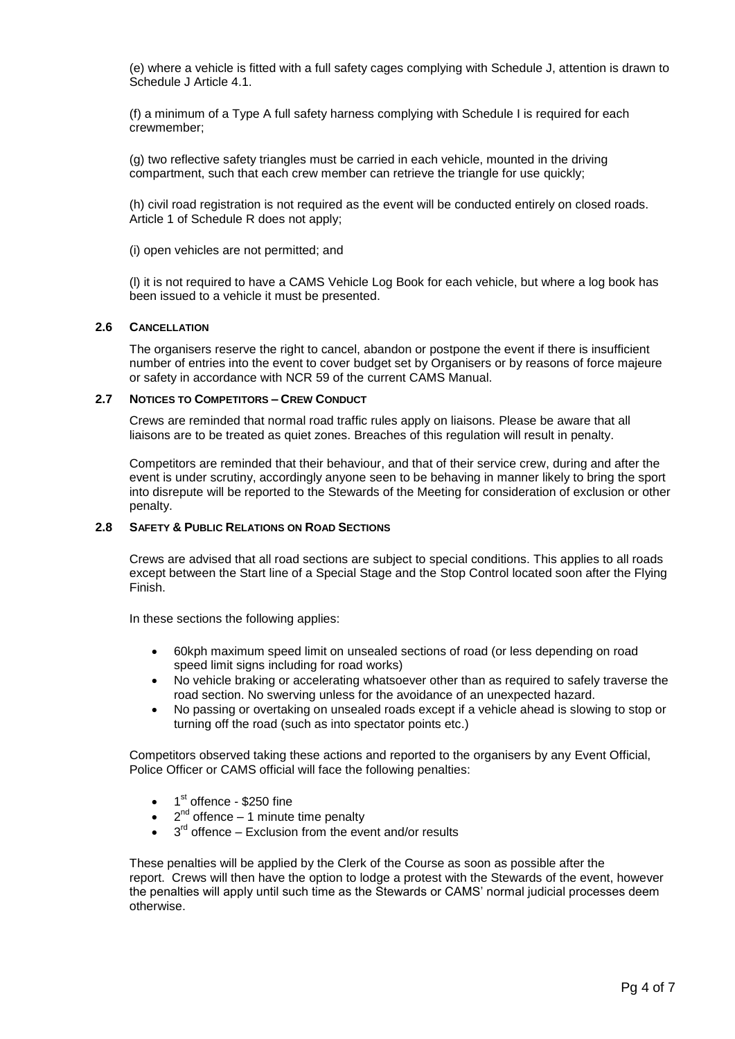(e) where a vehicle is fitted with a full safety cages complying with Schedule J, attention is drawn to Schedule J Article 4.1.

(f) a minimum of a Type A full safety harness complying with Schedule I is required for each crewmember;

(g) two reflective safety triangles must be carried in each vehicle, mounted in the driving compartment, such that each crew member can retrieve the triangle for use quickly;

(h) civil road registration is not required as the event will be conducted entirely on closed roads. Article 1 of Schedule R does not apply;

(i) open vehicles are not permitted; and

(l) it is not required to have a CAMS Vehicle Log Book for each vehicle, but where a log book has been issued to a vehicle it must be presented.

#### **2.6 CANCELLATION**

The organisers reserve the right to cancel, abandon or postpone the event if there is insufficient number of entries into the event to cover budget set by Organisers or by reasons of force majeure or safety in accordance with NCR 59 of the current CAMS Manual.

## **2.7 NOTICES TO COMPETITORS – CREW CONDUCT**

Crews are reminded that normal road traffic rules apply on liaisons. Please be aware that all liaisons are to be treated as quiet zones. Breaches of this regulation will result in penalty.

Competitors are reminded that their behaviour, and that of their service crew, during and after the event is under scrutiny, accordingly anyone seen to be behaving in manner likely to bring the sport into disrepute will be reported to the Stewards of the Meeting for consideration of exclusion or other penalty.

#### **2.8 SAFETY & PUBLIC RELATIONS ON ROAD SECTIONS**

Crews are advised that all road sections are subject to special conditions. This applies to all roads except between the Start line of a Special Stage and the Stop Control located soon after the Flying Finish.

In these sections the following applies:

- 60kph maximum speed limit on unsealed sections of road (or less depending on road speed limit signs including for road works)
- No vehicle braking or accelerating whatsoever other than as required to safely traverse the road section. No swerving unless for the avoidance of an unexpected hazard.
- No passing or overtaking on unsealed roads except if a vehicle ahead is slowing to stop or turning off the road (such as into spectator points etc.)

Competitors observed taking these actions and reported to the organisers by any Event Official, Police Officer or CAMS official will face the following penalties:

- $\bullet$  1<sup>st</sup> offence \$250 fine
- $\bullet$  2<sup>nd</sup> offence 1 minute time penalty
- $\bullet$  3<sup>rd</sup> offence Exclusion from the event and/or results

These penalties will be applied by the Clerk of the Course as soon as possible after the report. Crews will then have the option to lodge a protest with the Stewards of the event, however the penalties will apply until such time as the Stewards or CAMS' normal judicial processes deem otherwise.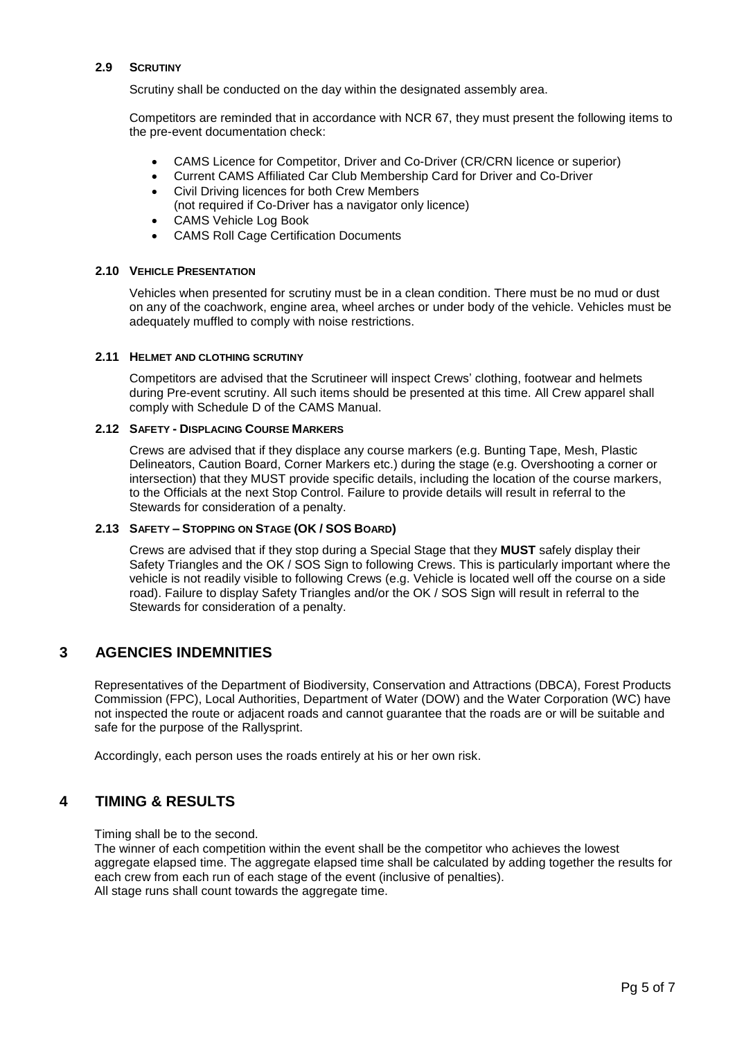#### **2.9 SCRUTINY**

Scrutiny shall be conducted on the day within the designated assembly area.

Competitors are reminded that in accordance with NCR 67, they must present the following items to the pre-event documentation check:

- CAMS Licence for Competitor, Driver and Co-Driver (CR/CRN licence or superior)
- Current CAMS Affiliated Car Club Membership Card for Driver and Co-Driver
- Civil Driving licences for both Crew Members (not required if Co-Driver has a navigator only licence)
- CAMS Vehicle Log Book
- CAMS Roll Cage Certification Documents

#### **2.10 VEHICLE PRESENTATION**

Vehicles when presented for scrutiny must be in a clean condition. There must be no mud or dust on any of the coachwork, engine area, wheel arches or under body of the vehicle. Vehicles must be adequately muffled to comply with noise restrictions.

#### **2.11 HELMET AND CLOTHING SCRUTINY**

Competitors are advised that the Scrutineer will inspect Crews' clothing, footwear and helmets during Pre-event scrutiny. All such items should be presented at this time. All Crew apparel shall comply with Schedule D of the CAMS Manual.

#### **2.12 SAFETY - DISPLACING COURSE MARKERS**

Crews are advised that if they displace any course markers (e.g. Bunting Tape, Mesh, Plastic Delineators, Caution Board, Corner Markers etc.) during the stage (e.g. Overshooting a corner or intersection) that they MUST provide specific details, including the location of the course markers, to the Officials at the next Stop Control. Failure to provide details will result in referral to the Stewards for consideration of a penalty.

#### **2.13 SAFETY – STOPPING ON STAGE (OK / SOS BOARD)**

Crews are advised that if they stop during a Special Stage that they **MUST** safely display their Safety Triangles and the OK / SOS Sign to following Crews. This is particularly important where the vehicle is not readily visible to following Crews (e.g. Vehicle is located well off the course on a side road). Failure to display Safety Triangles and/or the OK / SOS Sign will result in referral to the Stewards for consideration of a penalty.

# **3 AGENCIES INDEMNITIES**

Representatives of the Department of Biodiversity, Conservation and Attractions (DBCA), Forest Products Commission (FPC), Local Authorities, Department of Water (DOW) and the Water Corporation (WC) have not inspected the route or adjacent roads and cannot guarantee that the roads are or will be suitable and safe for the purpose of the Rallysprint.

Accordingly, each person uses the roads entirely at his or her own risk.

# **4 TIMING & RESULTS**

Timing shall be to the second.

The winner of each competition within the event shall be the competitor who achieves the lowest aggregate elapsed time. The aggregate elapsed time shall be calculated by adding together the results for each crew from each run of each stage of the event (inclusive of penalties). All stage runs shall count towards the aggregate time.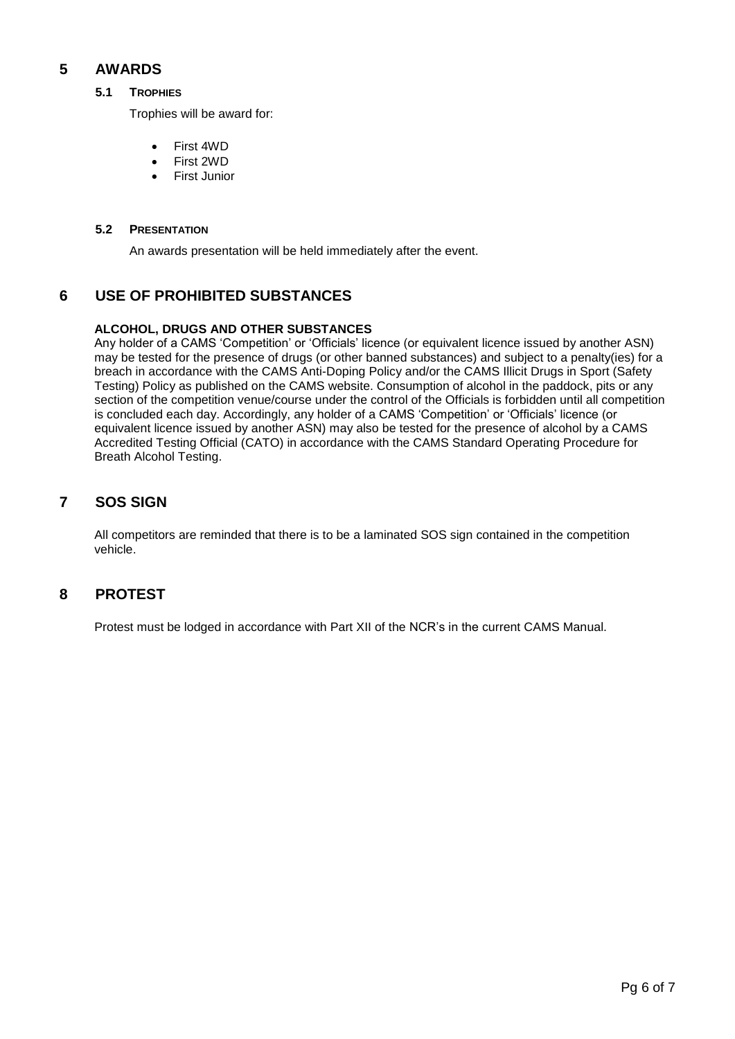# **5 AWARDS**

## **5.1 TROPHIES**

Trophies will be award for:

- First 4WD
- First 2WD
- First Junior

### **5.2 PRESENTATION**

An awards presentation will be held immediately after the event.

# **6 USE OF PROHIBITED SUBSTANCES**

## **ALCOHOL, DRUGS AND OTHER SUBSTANCES**

Any holder of a CAMS 'Competition' or 'Officials' licence (or equivalent licence issued by another ASN) may be tested for the presence of drugs (or other banned substances) and subject to a penalty(ies) for a breach in accordance with the CAMS Anti-Doping Policy and/or the CAMS Illicit Drugs in Sport (Safety Testing) Policy as published on the CAMS website. Consumption of alcohol in the paddock, pits or any section of the competition venue/course under the control of the Officials is forbidden until all competition is concluded each day. Accordingly, any holder of a CAMS 'Competition' or 'Officials' licence (or equivalent licence issued by another ASN) may also be tested for the presence of alcohol by a CAMS Accredited Testing Official (CATO) in accordance with the CAMS Standard Operating Procedure for Breath Alcohol Testing.

# **7 SOS SIGN**

All competitors are reminded that there is to be a laminated SOS sign contained in the competition vehicle.

# **8 PROTEST**

Protest must be lodged in accordance with Part XII of the NCR's in the current CAMS Manual.